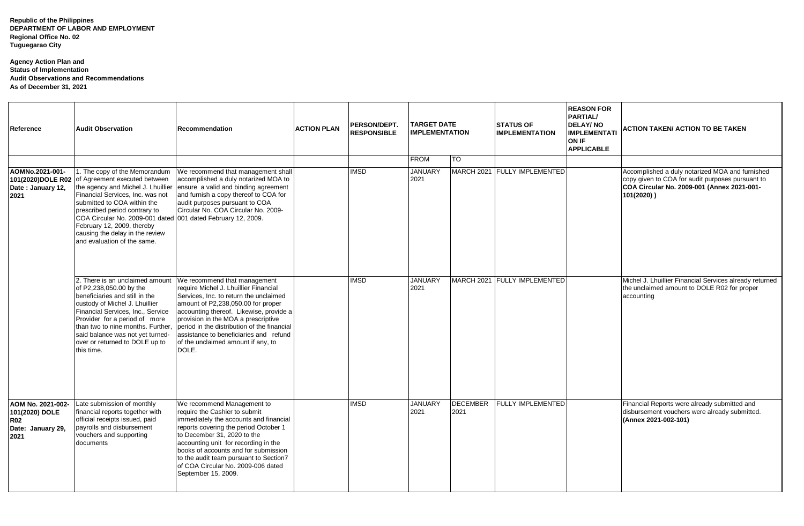**Republic of the Philippines DEPARTMENT OF LABOR AND EMPLOYMENT Regional Office No. 02 Tuguegarao City**

## **Agency Action Plan and Status of Implementation Audit Observations and Recommendations As of December 31, 2021**

| Reference                                                                      | <b>Audit Observation</b>                                                                                                                                                                                                                                                                                                                                                                   | Recommendation                                                                                                                                                                                                                                                                                                                                                                  | <b>ACTION PLAN</b> | PERSON/DEPT.<br><b>RESPONSIBLE</b> | <b>TARGET DATE</b><br><b>IMPLEMENTATION</b> |                         | <b>STATUS OF</b><br><b>IMPLEMENTATION</b> | <b>REASON FOR</b><br><b>PARTIAL/</b><br><b>DELAY/NO</b><br><b>IMPLEMENTATI</b><br><b>ON IF</b><br><b>APPLICABLE</b> | ACTION TAKEN/ ACTION TO BE TAKEN                                                                                                                                   |
|--------------------------------------------------------------------------------|--------------------------------------------------------------------------------------------------------------------------------------------------------------------------------------------------------------------------------------------------------------------------------------------------------------------------------------------------------------------------------------------|---------------------------------------------------------------------------------------------------------------------------------------------------------------------------------------------------------------------------------------------------------------------------------------------------------------------------------------------------------------------------------|--------------------|------------------------------------|---------------------------------------------|-------------------------|-------------------------------------------|---------------------------------------------------------------------------------------------------------------------|--------------------------------------------------------------------------------------------------------------------------------------------------------------------|
|                                                                                |                                                                                                                                                                                                                                                                                                                                                                                            |                                                                                                                                                                                                                                                                                                                                                                                 |                    |                                    | <b>FROM</b>                                 | Ю                       |                                           |                                                                                                                     |                                                                                                                                                                    |
| AOMNo.2021-001-<br>Date: January 12,<br>2021                                   | 1. The copy of the Memorandum<br>101(2020)DOLE R02 of Agreement executed between<br>the agency and Michel J. Lhuillier<br>Financial Services, Inc. was not<br>submitted to COA within the<br>prescribed period contrary to<br>COA Circular No. 2009-001 dated 001 dated February 12, 2009.<br>February 12, 2009, thereby<br>causing the delay in the review<br>and evaluation of the same. | We recommend that management shall<br>accomplished a duly notarized MOA to<br>ensure a valid and binding agreement<br>and furnish a copy thereof to COA for<br>audit purposes pursuant to COA<br>Circular No. COA Circular No. 2009-                                                                                                                                            |                    | <b>IMSD</b>                        | <b>JANUARY</b><br>2021                      |                         | MARCH 2021 FULLY IMPLEMENTED              |                                                                                                                     | Accomplished a duly notarized MOA and furnished<br>copy given to COA for audit purposes pursuant to<br>COA Circular No. 2009-001 (Annex 2021-001-<br>$101(2020)$ ) |
|                                                                                | 2. There is an unclaimed amount<br>of P2,238,050.00 by the<br>beneficiaries and still in the<br>custody of Michel J. Lhuillier<br>Financial Services, Inc., Service<br>Provider for a period of more<br>than two to nine months. Further,<br>said balance was not yet turned-<br>over or returned to DOLE up to<br>this time.                                                              | We recommend that management<br>require Michel J. Lhuillier Financial<br>Services, Inc. to return the unclaimed<br>amount of P2,238,050.00 for proper<br>accounting thereof. Likewise, provide a<br>provision in the MOA a prescriptive<br>period in the distribution of the financial<br>assistance to beneficiaries and refund<br>of the unclaimed amount if any, to<br>DOLE. |                    | <b>IMSD</b>                        | <b>JANUARY</b><br>2021                      |                         | MARCH 2021 FULLY IMPLEMENTED              |                                                                                                                     | Michel J. Lhuillier Financial Services already returned<br>the unclaimed amount to DOLE R02 for proper<br>accounting                                               |
| AOM No. 2021-002-<br>101(2020) DOLE<br><b>R02</b><br>Date: January 29,<br>2021 | Late submission of monthly<br>financial reports together with<br>official receipts issued, paid<br>payrolls and disbursement<br>vouchers and supporting<br>documents                                                                                                                                                                                                                       | We recommend Management to<br>require the Cashier to submit<br>immediately the accounts and financial<br>reports covering the period October 1<br>to December 31, 2020 to the<br>accounting unit for recording in the<br>books of accounts and for submission<br>to the audit team pursuant to Section7<br>of COA Circular No. 2009-006 dated<br>September 15, 2009.            |                    | <b>IMSD</b>                        | <b>JANUARY</b><br>2021                      | <b>DECEMBER</b><br>2021 | <b>FULLY IMPLEMENTED</b>                  |                                                                                                                     | Financial Reports were already submitted and<br>disbursement vouchers were already submitted.<br>(Annex 2021-002-101)                                              |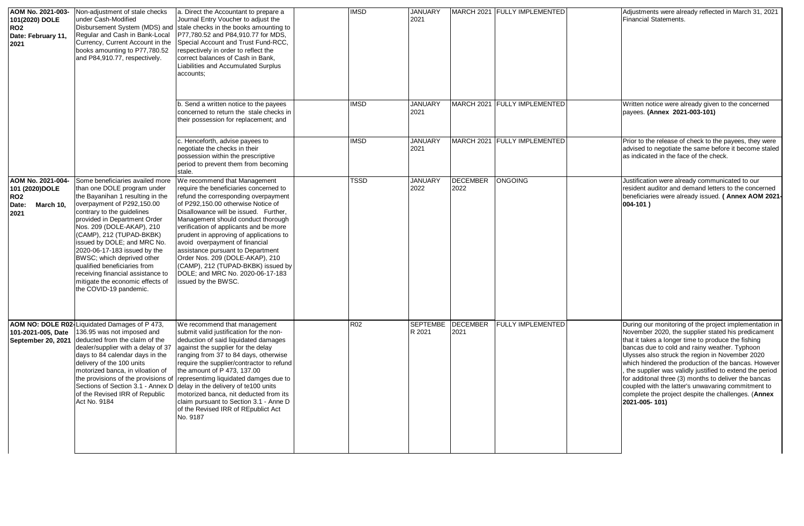| AOM No. 2021-003-<br>101(2020) DOLE<br>RO2<br>Date: February 11,<br>2021 | Non-adjustment of stale checks<br>under Cash-Modified<br>Regular and Cash in Bank-Local<br>Currency, Current Account in the<br>books amounting to P77,780.52<br>and P84,910.77, respectively.                                                                                                                                                                                                                                                                                           | a. Direct the Accountant to prepare a<br>Journal Entry Voucher to adjust the<br>Disbursement System (MDS) and stale checks in the books amounting to<br>P77,780.52 and P84,910.77 for MDS,<br>Special Account and Trust Fund-RCC.<br>respectively in order to reflect the<br>correct balances of Cash in Bank,<br>Liabilities and Accumulated Surplus<br>accounts;                                                                                                                                                                                                       | <b>IMSD</b>     | <b>JANUARY</b><br>2021    |                         | MARCH 2021   FULLY IMPLEMENTED | Adjustments were already reflected in March 31, 2021<br><b>Financial Statements.</b>                                                                                                                                                                                                                                                                                                                                                                                                                                                                                            |
|--------------------------------------------------------------------------|-----------------------------------------------------------------------------------------------------------------------------------------------------------------------------------------------------------------------------------------------------------------------------------------------------------------------------------------------------------------------------------------------------------------------------------------------------------------------------------------|--------------------------------------------------------------------------------------------------------------------------------------------------------------------------------------------------------------------------------------------------------------------------------------------------------------------------------------------------------------------------------------------------------------------------------------------------------------------------------------------------------------------------------------------------------------------------|-----------------|---------------------------|-------------------------|--------------------------------|---------------------------------------------------------------------------------------------------------------------------------------------------------------------------------------------------------------------------------------------------------------------------------------------------------------------------------------------------------------------------------------------------------------------------------------------------------------------------------------------------------------------------------------------------------------------------------|
|                                                                          |                                                                                                                                                                                                                                                                                                                                                                                                                                                                                         | b. Send a written notice to the payees<br>concerned to return the stale checks in<br>their possession for replacement; and                                                                                                                                                                                                                                                                                                                                                                                                                                               | <b>IMSD</b>     | <b>JANUARY</b><br>2021    |                         | MARCH 2021   FULLY IMPLEMENTED | Written notice were already given to the concerned<br>payees. (Annex 2021-003-101)                                                                                                                                                                                                                                                                                                                                                                                                                                                                                              |
|                                                                          |                                                                                                                                                                                                                                                                                                                                                                                                                                                                                         | c. Henceforth, advise payees to<br>negotiate the checks in their<br>possession within the prescriptive<br>period to prevent them from becoming<br>stale.                                                                                                                                                                                                                                                                                                                                                                                                                 | <b>IMSD</b>     | <b>JANUARY</b><br>2021    |                         | MARCH 2021   FULLY IMPLEMENTED | Prior to the release of check to the payees, they were<br>advised to negotiate the same before it become staled<br>as indicated in the face of the check.                                                                                                                                                                                                                                                                                                                                                                                                                       |
| AOM No. 2021-004-<br>101 (2020)DOLE<br>RO2<br>March 10,<br>Date:<br>2021 | Some beneficiaries availed more<br>than one DOLE program under<br>the Bayanihan 1 resulting in the<br>overpayment of P292,150.00<br>contrary to the guidelines<br>provided in Department Order<br>Nos. 209 (DOLE-AKAP), 210<br>(CAMP), 212 (TUPAD-BKBK)<br>issued by DOLE; and MRC No.<br>2020-06-17-183 issued by the<br>BWSC; which deprived other<br>qualified beneficiaries from<br>receiving financial assistance to<br>mitigate the economic effects of<br>the COVID-19 pandemic. | We recommend that Management<br>require the beneficiaries concerned to<br>refund the corresponding overpayment<br>of P292,150.00 otherwise Notice of<br>Disallowance will be issued. Further,<br>Management should conduct thorough<br>verification of applicants and be more<br>prudent in approving of applications to<br>avoid overpayment of financial<br>assistance pursuant to Department<br>Order Nos. 209 (DOLE-AKAP), 210<br>(CAMP), 212 (TUPAD-BKBK) issued by<br>DOLE; and MRC No. 2020-06-17-183<br>issued by the BWSC.                                      | TSSD            | <b>JANUARY</b><br>2022    | <b>DECEMBER</b><br>2022 | <b>ONGOING</b>                 | Justification were already communicated to our<br>resident auditor and demand letters to the concerned<br>beneficiaries were already issued. ( Annex AOM 2021-<br>$004-101$ )                                                                                                                                                                                                                                                                                                                                                                                                   |
| 101-2021-005, Date<br>September 20, 2021                                 | AOM NO: DOLE R02-Liquidated Damages of P 473.<br>136.95 was not imposed and<br>deducted from the claim of the<br>dealer/supplier with a delay of 37<br>days to 84 calendar days in the<br>delivery of the 100 units<br>motorized banca, in viloation of<br>of the Revised IRR of Republic<br>Act No. 9184                                                                                                                                                                               | We recommend that management<br>submit valid justification for the non-<br>deduction of said liquidated damages<br>against the supplier for the delay<br>ranging from 37 to 84 days, otherwise<br>require the supplier/contractor to refund<br>the amount of P 473, 137.00<br>the provisions of the provisions of representimg liquidated damges due to<br>Sections of Section 3.1 - Annex D delay in the delivery of te100 units<br>motorized banca, nit deducted from its<br>claim pursuant to Section 3.1 - Anne D<br>of the Revised IRR of REpublict Act<br>No. 9187 | R <sub>02</sub> | <b>SEPTEMBE</b><br>R 2021 | <b>DECEMBER</b><br>2021 | <b>FULLY IMPLEMENTED</b>       | During our monitoring of the project implementation in<br>November 2020, the supplier stated his predicament<br>that it takes a longer time to produce the fishing<br>bancas due to cold and rainy weather. Typhoon<br>Ulysses also struck the region in November 2020<br>which hindered the production of the bancas. However<br>the supplier was validly justified to extend the period<br>for additonal three (3) months to deliver the bancas<br>coupled with the latter's unwavaring commitment to<br>complete the project despite the challenges. (Annex<br>2021-005-101) |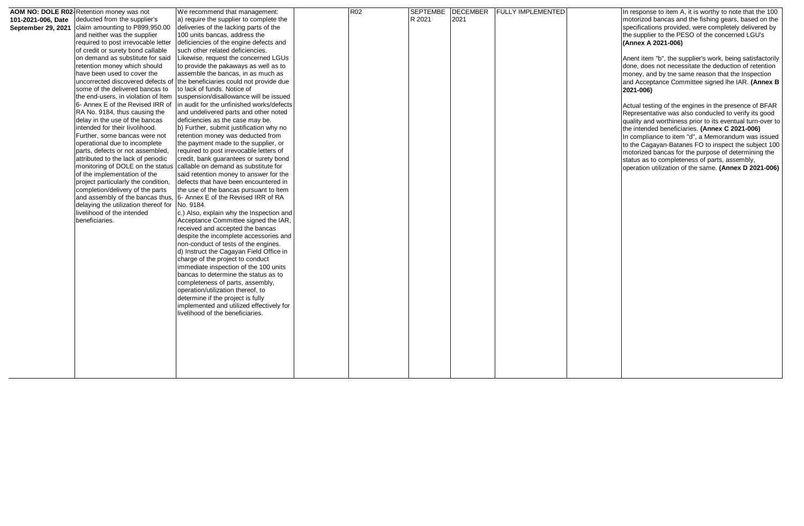|                    | AOM NO: DOLE R02- Retention money was not | We recommend that management:             | <b>R02</b> | <b>SEPTEMBE</b> | <b>DECEMBER</b> | <b>FULLY IMPLEMENTED</b> | In response to item A, it is worthy to note that the 100  |
|--------------------|-------------------------------------------|-------------------------------------------|------------|-----------------|-----------------|--------------------------|-----------------------------------------------------------|
| 101-2021-006, Date | deducted from the supplier's              | a) require the supplier to complete the   |            | R 2021          | 2021            |                          | motorizod bancas and the fishing gears, based on the      |
| September 29, 2021 | claim amounting to P899,950.00            | deliveries of the lacking parts of the    |            |                 |                 |                          | specifications provided, were completely delivered by     |
|                    | and neither was the supplier              | 100 units bancas, address the             |            |                 |                 |                          | the supplier to the PESO of the concerned LGU's           |
|                    | required to post irrevocable letter       | deficiencies of the engine defects and    |            |                 |                 |                          | (Annex A 2021-006)                                        |
|                    |                                           |                                           |            |                 |                 |                          |                                                           |
|                    | of credit or surety bond callable         | such other related deficiencies.          |            |                 |                 |                          |                                                           |
|                    | on demand as substitute for said          | Likewise, request the concerned LGUs      |            |                 |                 |                          | Anent item "b", the supplier's work, being satisfactorily |
|                    | retention money which should              | to provide the pakaways as well as to     |            |                 |                 |                          | done, does not necessitate the deduction of retention     |
|                    | have been used to cover the               | assemble the bancas, in as much as        |            |                 |                 |                          | money, and by tne same reason that the Inspection         |
|                    | uncorrected discovered defects of         | the beneficiaries could not provide due   |            |                 |                 |                          | and Acceptance Committee signed lhe IAR. (Annex B         |
|                    | some of the delivered bancas to           | to lack of funds. Notice of               |            |                 |                 |                          | 2021-006)                                                 |
|                    | the end-users, in violation of Item       | suspension/disallowance will be issued    |            |                 |                 |                          |                                                           |
|                    | 6- Annex E of the Revised IRR of          | in audit for the unfinished works/defects |            |                 |                 |                          | Actual testing of the engines in the presence of BFAR     |
|                    | RA No. 9184, thus causing the             | and undelivered parts and other noted     |            |                 |                 |                          | Representative was also conducled to verify its good      |
|                    | delay in the use of the bancas            | deficiencies as the case may be.          |            |                 |                 |                          | quality and worthiness prior to its eventual turn-over to |
|                    | intended for their livolihood.            | b) Further, submit justification why no   |            |                 |                 |                          |                                                           |
|                    | Further, some bancas were not             | retention money was deducted from         |            |                 |                 |                          | the intended beneficiaries. (Annex C 2021-006)            |
|                    | operational due to incomplete             | the payment made to the supplier, or      |            |                 |                 |                          | In compliance to item "d", a Memorandum was issued        |
|                    |                                           |                                           |            |                 |                 |                          | to the Cagayan-Batanes FO to inspect the subject 100      |
|                    | parts, defects or not assembled,          | required to post irrevocable letters of   |            |                 |                 |                          | motorized bancas for the purpose of determining the       |
|                    | attributed to the lack of periodic        | credit, bank guarantees or surety bond    |            |                 |                 |                          | status as to completeness of parts, assembly,             |
|                    | monitoring of DOLE on the status          | callable on demand as substitute for      |            |                 |                 |                          | operation utilization of the same. (Annex D 2021-006)     |
|                    | of the implementation of the              | said retention money to answer for the    |            |                 |                 |                          |                                                           |
|                    | project particularly the condition,       | defects that have been encountered in     |            |                 |                 |                          |                                                           |
|                    | completion/delivery of the parts          | the use of the bancas pursuant to Item    |            |                 |                 |                          |                                                           |
|                    | and assembly of the bancas thus,          | 6- Annex E of the Revised IRR of RA       |            |                 |                 |                          |                                                           |
|                    | delaying the utilization thereof for      | No. 9184.                                 |            |                 |                 |                          |                                                           |
|                    | livelihood of the intended                | c.) Also, explain why the Inspection and  |            |                 |                 |                          |                                                           |
|                    | beneficiaries.                            | Acceptance Committee signed the IAR,      |            |                 |                 |                          |                                                           |
|                    |                                           | received and accepted the bancas          |            |                 |                 |                          |                                                           |
|                    |                                           | despite the incomplete accessories and    |            |                 |                 |                          |                                                           |
|                    |                                           | non-conduct of tests of the engines.      |            |                 |                 |                          |                                                           |
|                    |                                           | d) Instruct the Cagayan Field Office in   |            |                 |                 |                          |                                                           |
|                    |                                           | charge of the project to conduct          |            |                 |                 |                          |                                                           |
|                    |                                           | immediate inspection of the 100 units     |            |                 |                 |                          |                                                           |
|                    |                                           |                                           |            |                 |                 |                          |                                                           |
|                    |                                           | bancas to determine the status as to      |            |                 |                 |                          |                                                           |
|                    |                                           | completeness of parts, assembly,          |            |                 |                 |                          |                                                           |
|                    |                                           | operation/utilization thereof, to         |            |                 |                 |                          |                                                           |
|                    |                                           | determine if the project is fully         |            |                 |                 |                          |                                                           |
|                    |                                           | implemented and utilized effectively for  |            |                 |                 |                          |                                                           |
|                    |                                           | livelihood of the beneficiaries.          |            |                 |                 |                          |                                                           |
|                    |                                           |                                           |            |                 |                 |                          |                                                           |
|                    |                                           |                                           |            |                 |                 |                          |                                                           |
|                    |                                           |                                           |            |                 |                 |                          |                                                           |
|                    |                                           |                                           |            |                 |                 |                          |                                                           |
|                    |                                           |                                           |            |                 |                 |                          |                                                           |
|                    |                                           |                                           |            |                 |                 |                          |                                                           |
|                    |                                           |                                           |            |                 |                 |                          |                                                           |
|                    |                                           |                                           |            |                 |                 |                          |                                                           |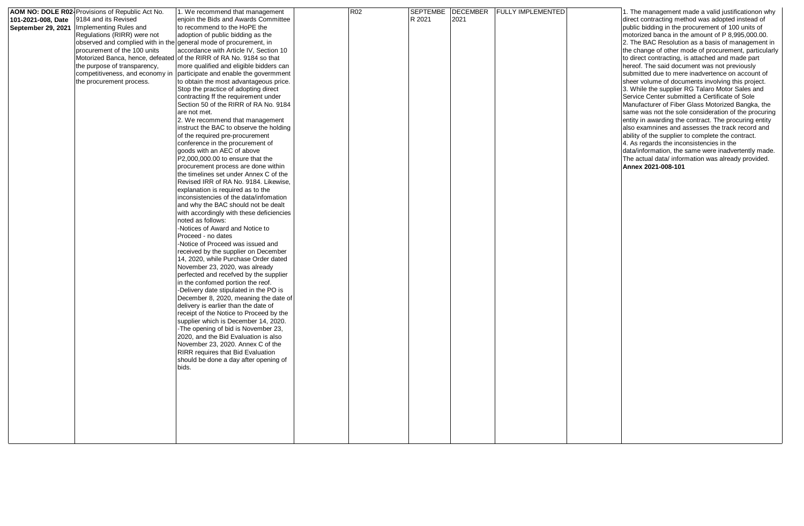| 101-2021-008, Date<br>September 29, 2021 | AOM NO: DOLE R02 Provisions of Republic Act No.<br>9184 and its Revised<br>Implementing Rules and<br>Regulations (RIRR) were not<br>observed and complied with in the general mode of procurement, in<br>procurement of the 100 units<br>the purpose of transparency,<br>competitiveness, and economy in<br>the procurement process. | 1. We recommend that management<br>enjoin the Bids and Awards Committee<br>to recommend to the HoPE the<br>adoption of public bidding as the<br>accordance with Article IV, Section 10<br>Motorized Banca, hence, defeated of the RIRR of RA No. 9184 so that<br>more qualified and eligible bidders can<br>participate and enable the govermment<br>to obtain the most advantageous price.<br>Stop the practice of adopting direct<br>contracting ff the requirement under<br>Section 50 of the RIRR of RA No. 9184<br>are not met.<br>2. We recommend that management<br>instruct the BAC to observe the holding<br>of the required pre-procurement<br>conference in the procurement of<br>goods with an AEC of above<br>P2,000,000.00 to ensure that the<br>procurement process are done within<br>the timelines set under Annex C of the<br>Revised IRR of RA No. 9184. Likewise,<br>explanation is required as to the<br>inconsistencies of the data/infomation<br>and why the BAC should not be dealt<br>with accordingly with these deficiencies<br>noted as follows:<br>-Notices of Award and Notice to<br>Proceed - no dates<br>-Notice of Proceed was issued and<br>received by the supplier on December<br>14, 2020, while Purchase Order dated<br>November 23, 2020, was already<br>perfected and recefved by the supplier<br>in the confomed portion the reof.<br>-Delivery date stipulated in the PO is<br>December 8, 2020, meaning the date of<br>delivery is earlier than the date of<br>receipt of the Notice to Proceed by the<br>supplier which is December 14, 2020.<br>-The opening of bid is November 23,<br>2020, and the Bid Evaluation is also<br>November 23, 2020. Annex C of the<br>RIRR requires that Bid Evaluation<br>should be done a day after opening of<br>bids. | <b>R02</b> | R 2021 | 2021 | SEPTEMBE DECEMBER FULLY IMPLEMENTED | 1. The management made a valid justificationon why<br>direct contracting method was adopted instead of<br>public bidding in the procurement of 100 units of<br>motorized banca in the amount of P 8,995,000.00.<br>2. The BAC Resolution as a basis of management in<br>the change of other mode of procurement, particularly<br>to direct contracting, is attached and made part<br>hereof. The said document was not previously<br>submitted due to mere inadvertence on account of<br>sheer volume of documents involving this project.<br>3. While the supplier RG Talaro Motor Sales and<br>Service Center submitted a Certificate of Sole<br>Manufacturer of Fiber Glass Motorized Bangka, the<br>same was not the sole consideration of the procuring<br>entity in awarding the contract. The procuring entity<br>also examnines and assesses the track record and<br>ability of the supplier to complete the contract.<br>4. As regards the inconsistencies in the<br>data/information, the same were inadvertently made.<br>The actual data/ information was already provided.<br>Annex 2021-008-101 |
|------------------------------------------|--------------------------------------------------------------------------------------------------------------------------------------------------------------------------------------------------------------------------------------------------------------------------------------------------------------------------------------|------------------------------------------------------------------------------------------------------------------------------------------------------------------------------------------------------------------------------------------------------------------------------------------------------------------------------------------------------------------------------------------------------------------------------------------------------------------------------------------------------------------------------------------------------------------------------------------------------------------------------------------------------------------------------------------------------------------------------------------------------------------------------------------------------------------------------------------------------------------------------------------------------------------------------------------------------------------------------------------------------------------------------------------------------------------------------------------------------------------------------------------------------------------------------------------------------------------------------------------------------------------------------------------------------------------------------------------------------------------------------------------------------------------------------------------------------------------------------------------------------------------------------------------------------------------------------------------------------------------------------------------------------------------------------------------------------------------------------------------------------------------------------------------------------|------------|--------|------|-------------------------------------|---------------------------------------------------------------------------------------------------------------------------------------------------------------------------------------------------------------------------------------------------------------------------------------------------------------------------------------------------------------------------------------------------------------------------------------------------------------------------------------------------------------------------------------------------------------------------------------------------------------------------------------------------------------------------------------------------------------------------------------------------------------------------------------------------------------------------------------------------------------------------------------------------------------------------------------------------------------------------------------------------------------------------------------------------------------------------------------------------------------|
|------------------------------------------|--------------------------------------------------------------------------------------------------------------------------------------------------------------------------------------------------------------------------------------------------------------------------------------------------------------------------------------|------------------------------------------------------------------------------------------------------------------------------------------------------------------------------------------------------------------------------------------------------------------------------------------------------------------------------------------------------------------------------------------------------------------------------------------------------------------------------------------------------------------------------------------------------------------------------------------------------------------------------------------------------------------------------------------------------------------------------------------------------------------------------------------------------------------------------------------------------------------------------------------------------------------------------------------------------------------------------------------------------------------------------------------------------------------------------------------------------------------------------------------------------------------------------------------------------------------------------------------------------------------------------------------------------------------------------------------------------------------------------------------------------------------------------------------------------------------------------------------------------------------------------------------------------------------------------------------------------------------------------------------------------------------------------------------------------------------------------------------------------------------------------------------------------|------------|--------|------|-------------------------------------|---------------------------------------------------------------------------------------------------------------------------------------------------------------------------------------------------------------------------------------------------------------------------------------------------------------------------------------------------------------------------------------------------------------------------------------------------------------------------------------------------------------------------------------------------------------------------------------------------------------------------------------------------------------------------------------------------------------------------------------------------------------------------------------------------------------------------------------------------------------------------------------------------------------------------------------------------------------------------------------------------------------------------------------------------------------------------------------------------------------|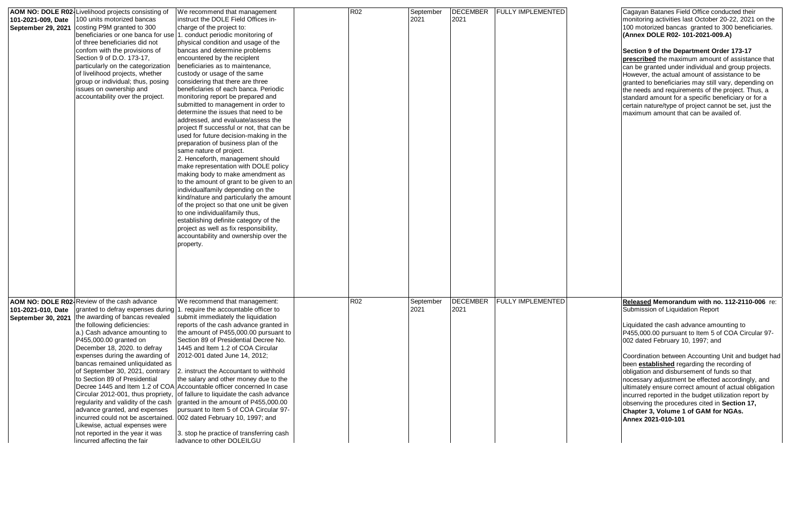| 101-2021-009. Date<br>September 29, 2021 | AOM NO: DOLE R02-Livelihood projects consisting of<br>100 units motorized bancas<br>costing P9M granted to 300<br>beneficiaries or one banca for use 1. conduct periodic monitoring of<br>of three beneficiaries did not<br>confom with the provisions of<br>Section 9 of D.O. 173-17,<br>particularly on the categorization<br>of livelihood projects, whether<br>group or individual; thus, posing<br>issues on ownership and<br>accountability over the project.                                                                                                                                                                              | We recommend that management<br>instruct the DOLE Field Offices in-<br>charge of the project to:<br>physical condition and usage of the<br>bancas and determine problems<br>encountered by the reciplent<br>beneficiaries as to maintenance,<br>custody or usage of the same<br>considering that there are three<br>beneficlaries of each banca. Periodic<br>monitoring report be prepared and<br>submitted to management in order to<br>determine the issues that need to be<br>addressed, and evaluate/assess the<br>project ff successful or not, that can be<br>used for future decision-making in the<br>preparation of business plan of the<br>same nature of project.<br>2. Henceforth, management should<br>make representation with DOLE policy<br>making body to make amendment as<br>to the amount of grant to be given to an<br>individualfamily depending on the<br>kind/nature and particularly the amount<br>of the project so that one unit be given<br>to one individualifamily thus,<br>establishing definite category of the<br>project as well as fix responsibility,<br>accountability and ownership over the<br>property. | R <sub>02</sub> | September<br>2021 | <b>DECEMBER</b><br>2021 | <b>FULLY IMPLEMENTED</b> | Cagayan Batanes Field Office conducted their<br>monitoring activities last October 20-22, 2021 on the<br>100 motorized bancas granted to 300 beneficiaries.<br>(Annex DOLE R02- 101-2021-009.A)<br>Section 9 of the Department Order 173-17<br>prescribed the maximum amount of assistance that<br>can be granted under individual and group projects.<br>However, the actual amount of assistance to be<br>granted to beneficiaries may still vary, depending on<br>the needs and requirements of the project. Thus, a<br>standard amount for a specific beneficiary or for a<br>certain nature/type of project cannot be set, just the<br>maximum amount that can be availed of. |
|------------------------------------------|--------------------------------------------------------------------------------------------------------------------------------------------------------------------------------------------------------------------------------------------------------------------------------------------------------------------------------------------------------------------------------------------------------------------------------------------------------------------------------------------------------------------------------------------------------------------------------------------------------------------------------------------------|-------------------------------------------------------------------------------------------------------------------------------------------------------------------------------------------------------------------------------------------------------------------------------------------------------------------------------------------------------------------------------------------------------------------------------------------------------------------------------------------------------------------------------------------------------------------------------------------------------------------------------------------------------------------------------------------------------------------------------------------------------------------------------------------------------------------------------------------------------------------------------------------------------------------------------------------------------------------------------------------------------------------------------------------------------------------------------------------------------------------------------------------------|-----------------|-------------------|-------------------------|--------------------------|------------------------------------------------------------------------------------------------------------------------------------------------------------------------------------------------------------------------------------------------------------------------------------------------------------------------------------------------------------------------------------------------------------------------------------------------------------------------------------------------------------------------------------------------------------------------------------------------------------------------------------------------------------------------------------|
| 101-2021-010, Date<br>September 30, 2021 | AOM NO: DOLE R02- Review of the cash advance<br>granted to defray expenses during<br>the awarding of bancas revealed<br>the following deficiencies:<br>a.) Cash advance amounting to<br>P455,000.00 granted on<br>December 18, 2020. to defray<br>expenses during the awarding of<br>bancas remained unliquidated as<br>of September 30, 2021, contrary<br>to Section 89 of Presidential<br>Circular 2012-001, thus propriety,<br>regularity and validity of the cash<br>advance granted, and expenses<br>incurred could not be ascertained.<br>Likewise, actual expenses were<br>not reported in the year it was<br>incurred affecting the fair | We recommend that management:<br>1. require the accountable officer to<br>submit immediately the liquidation<br>reports of the cash advance granted in<br>the amount of P455,000.00 pursuant to<br>Section 89 of Presidential Decree No.<br>1445 and Item 1.2 of COA Circular<br>2012-001 dated June 14, 2012;<br>2. instruct the Accountant to withhold<br>the salary and other money due to the<br>Decree 1445 and Item 1.2 of COA Accountable officer concerned In case<br>of fallure to liquidate the cash advance<br>granted in the amount of P455,000.00<br>pursuant to Item 5 of COA Circular 97-<br>002 dated February 10, 1997; and<br>3. stop he practice of transferring cash<br>ladvance to other DOLEILGU                                                                                                                                                                                                                                                                                                                                                                                                                          | R <sub>02</sub> | September<br>2021 | <b>DECEMBER</b><br>2021 | <b>FULLY IMPLEMENTED</b> | Released Memorandum with no. 112-2110-006 re:<br>Submission of Liquidation Report<br>Liquidated the cash advance amounting to<br>P455,000.00 pursuant to Item 5 of COA Circular 97-<br>002 dated February 10, 1997; and<br>Coordination between Accounting Unit and budget had<br>been established regarding the recording of<br>obligation and disbursement of funds so that<br>nocessary adjustment be effected accordingly, and<br>ultimately ensure correct amount of actual obligation<br>incurred reported in the budget utilization report by<br>obsenving the procedures cited in Section 17,<br>Chapter 3, Volume 1 of GAM for NGAs.<br>Annex 2021-010-101                |